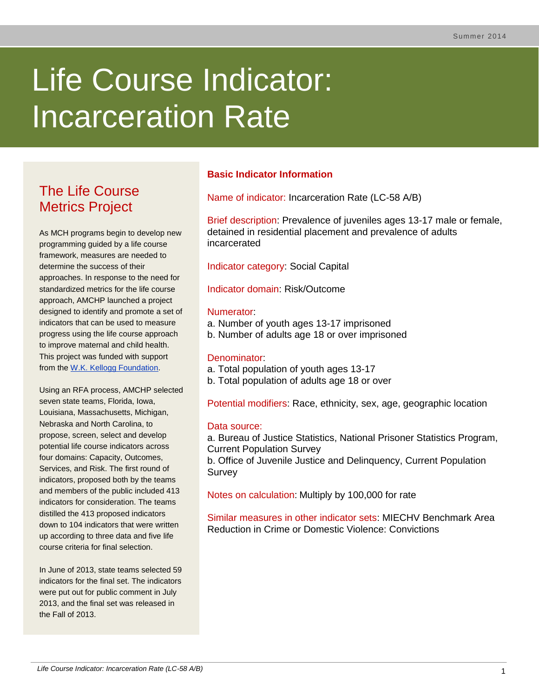# Life Course Indicator: Incarceration Rate

# The Life Course Metrics Project

As MCH programs begin to develop new programming guided by a life course framework, measures are needed to determine the success of their approaches. In response to the need for standardized metrics for the life course approach, AMCHP launched a project designed to identify and promote a set of indicators that can be used to measure progress using the life course approach to improve maternal and child health. This project was funded with support from the [W.K. Kellogg Foundation.](http://www.wkkf.org/)

Using an RFA process, AMCHP selected seven state teams, Florida, Iowa, Louisiana, Massachusetts, Michigan, Nebraska and North Carolina, to propose, screen, select and develop potential life course indicators across four domains: Capacity, Outcomes, Services, and Risk. The first round of indicators, proposed both by the teams and members of the public included 413 indicators for consideration. The teams distilled the 413 proposed indicators down to 104 indicators that were written up according to three data and five life course criteria for final selection.

In June of 2013, state teams selected 59 indicators for the final set. The indicators were put out for public comment in July 2013, and the final set was released in the Fall of 2013.

# **Basic Indicator Information**

Name of indicator: Incarceration Rate (LC-58 A/B)

Brief description: Prevalence of juveniles ages 13-17 male or female, detained in residential placement and prevalence of adults incarcerated

Indicator category: Social Capital

Indicator domain: Risk/Outcome

#### Numerator:

- a. Number of youth ages 13-17 imprisoned
- b. Number of adults age 18 or over imprisoned

# Denominator:

- a. Total population of youth ages 13-17
- b. Total population of adults age 18 or over

Potential modifiers: Race, ethnicity, sex, age, geographic location

# Data source:

a. Bureau of Justice Statistics, National Prisoner Statistics Program, Current Population Survey

b. Office of Juvenile Justice and Delinquency, Current Population **Survey** 

Notes on calculation: Multiply by 100,000 for rate

Similar measures in other indicator sets: MIECHV Benchmark Area Reduction in Crime or Domestic Violence: Convictions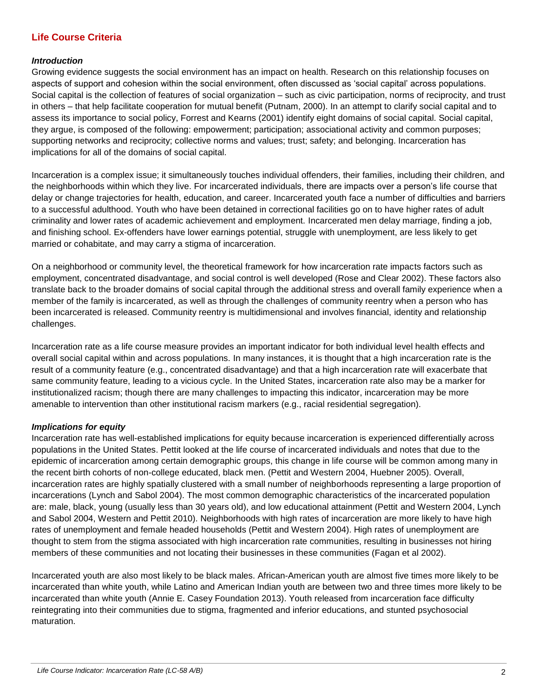# **Life Course Criteria**

#### *Introduction*

Growing evidence suggests the social environment has an impact on health. Research on this relationship focuses on aspects of support and cohesion within the social environment, often discussed as 'social capital' across populations. Social capital is the collection of features of social organization – such as civic participation, norms of reciprocity, and trust in others – that help facilitate cooperation for mutual benefit (Putnam, 2000). In an attempt to clarify social capital and to assess its importance to social policy, Forrest and Kearns (2001) identify eight domains of social capital. Social capital, they argue, is composed of the following: empowerment; participation; associational activity and common purposes; supporting networks and reciprocity; collective norms and values; trust; safety; and belonging. Incarceration has implications for all of the domains of social capital.

Incarceration is a complex issue; it simultaneously touches individual offenders, their families, including their children, and the neighborhoods within which they live. For incarcerated individuals, there are impacts over a person's life course that delay or change trajectories for health, education, and career. Incarcerated youth face a number of difficulties and barriers to a successful adulthood. Youth who have been detained in correctional facilities go on to have higher rates of adult criminality and lower rates of academic achievement and employment. Incarcerated men delay marriage, finding a job, and finishing school. Ex-offenders have lower earnings potential, struggle with unemployment, are less likely to get married or cohabitate, and may carry a stigma of incarceration.

On a neighborhood or community level, the theoretical framework for how incarceration rate impacts factors such as employment, concentrated disadvantage, and social control is well developed (Rose and Clear 2002). These factors also translate back to the broader domains of social capital through the additional stress and overall family experience when a member of the family is incarcerated, as well as through the challenges of community reentry when a person who has been incarcerated is released. Community reentry is multidimensional and involves financial, identity and relationship challenges.

Incarceration rate as a life course measure provides an important indicator for both individual level health effects and overall social capital within and across populations. In many instances, it is thought that a high incarceration rate is the result of a community feature (e.g., concentrated disadvantage) and that a high incarceration rate will exacerbate that same community feature, leading to a vicious cycle. In the United States, incarceration rate also may be a marker for institutionalized racism; though there are many challenges to impacting this indicator, incarceration may be more amenable to intervention than other institutional racism markers (e.g., racial residential segregation).

#### *Implications for equity*

Incarceration rate has well-established implications for equity because incarceration is experienced differentially across populations in the United States. Pettit looked at the life course of incarcerated individuals and notes that due to the epidemic of incarceration among certain demographic groups, this change in life course will be common among many in the recent birth cohorts of non-college educated, black men. (Pettit and Western 2004, Huebner 2005). Overall, incarceration rates are highly spatially clustered with a small number of neighborhoods representing a large proportion of incarcerations (Lynch and Sabol 2004). The most common demographic characteristics of the incarcerated population are: male, black, young (usually less than 30 years old), and low educational attainment (Pettit and Western 2004, Lynch and Sabol 2004, Western and Pettit 2010). Neighborhoods with high rates of incarceration are more likely to have high rates of unemployment and female headed households (Pettit and Western 2004). High rates of unemployment are thought to stem from the stigma associated with high incarceration rate communities, resulting in businesses not hiring members of these communities and not locating their businesses in these communities (Fagan et al 2002).

Incarcerated youth are also most likely to be black males. African-American youth are almost five times more likely to be incarcerated than white youth, while Latino and American Indian youth are between two and three times more likely to be incarcerated than white youth (Annie E. Casey Foundation 2013). Youth released from incarceration face difficulty reintegrating into their communities due to stigma, fragmented and inferior educations, and stunted psychosocial maturation.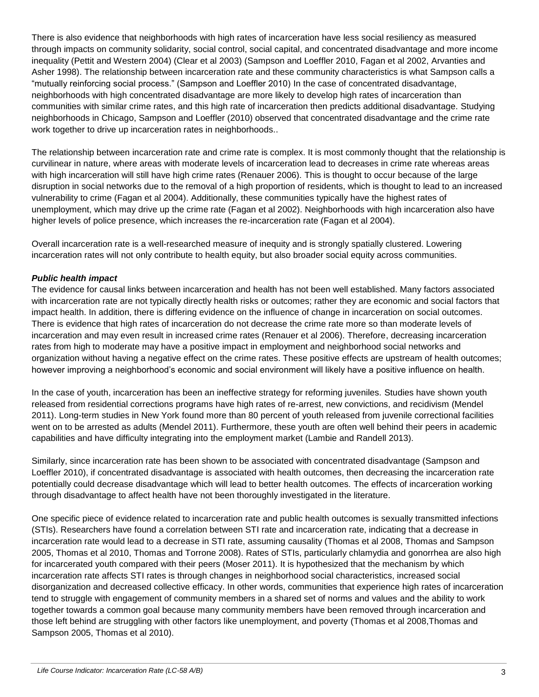There is also evidence that neighborhoods with high rates of incarceration have less social resiliency as measured through impacts on community solidarity, social control, social capital, and concentrated disadvantage and more income inequality (Pettit and Western 2004) (Clear et al 2003) (Sampson and Loeffler 2010, Fagan et al 2002, Arvanties and Asher 1998). The relationship between incarceration rate and these community characteristics is what Sampson calls a "mutually reinforcing social process." (Sampson and Loeffler 2010) In the case of concentrated disadvantage, neighborhoods with high concentrated disadvantage are more likely to develop high rates of incarceration than communities with similar crime rates, and this high rate of incarceration then predicts additional disadvantage. Studying neighborhoods in Chicago, Sampson and Loeffler (2010) observed that concentrated disadvantage and the crime rate work together to drive up incarceration rates in neighborhoods..

The relationship between incarceration rate and crime rate is complex. It is most commonly thought that the relationship is curvilinear in nature, where areas with moderate levels of incarceration lead to decreases in crime rate whereas areas with high incarceration will still have high crime rates (Renauer 2006). This is thought to occur because of the large disruption in social networks due to the removal of a high proportion of residents, which is thought to lead to an increased vulnerability to crime (Fagan et al 2004). Additionally, these communities typically have the highest rates of unemployment, which may drive up the crime rate (Fagan et al 2002). Neighborhoods with high incarceration also have higher levels of police presence, which increases the re-incarceration rate (Fagan et al 2004).

Overall incarceration rate is a well-researched measure of inequity and is strongly spatially clustered. Lowering incarceration rates will not only contribute to health equity, but also broader social equity across communities.

#### *Public health impact*

The evidence for causal links between incarceration and health has not been well established. Many factors associated with incarceration rate are not typically directly health risks or outcomes; rather they are economic and social factors that impact health. In addition, there is differing evidence on the influence of change in incarceration on social outcomes. There is evidence that high rates of incarceration do not decrease the crime rate more so than moderate levels of incarceration and may even result in increased crime rates (Renauer et al 2006). Therefore, decreasing incarceration rates from high to moderate may have a positive impact in employment and neighborhood social networks and organization without having a negative effect on the crime rates. These positive effects are upstream of health outcomes; however improving a neighborhood's economic and social environment will likely have a positive influence on health.

In the case of youth, incarceration has been an ineffective strategy for reforming juveniles. Studies have shown youth released from residential corrections programs have high rates of re-arrest, new convictions, and recidivism (Mendel 2011). Long-term studies in New York found more than 80 percent of youth released from juvenile correctional facilities went on to be arrested as adults (Mendel 2011). Furthermore, these youth are often well behind their peers in academic capabilities and have difficulty integrating into the employment market (Lambie and Randell 2013).

Similarly, since incarceration rate has been shown to be associated with concentrated disadvantage (Sampson and Loeffler 2010), if concentrated disadvantage is associated with health outcomes, then decreasing the incarceration rate potentially could decrease disadvantage which will lead to better health outcomes. The effects of incarceration working through disadvantage to affect health have not been thoroughly investigated in the literature.

One specific piece of evidence related to incarceration rate and public health outcomes is sexually transmitted infections (STIs). Researchers have found a correlation between STI rate and incarceration rate, indicating that a decrease in incarceration rate would lead to a decrease in STI rate, assuming causality (Thomas et al 2008, Thomas and Sampson 2005, Thomas et al 2010, Thomas and Torrone 2008). Rates of STIs, particularly chlamydia and gonorrhea are also high for incarcerated youth compared with their peers (Moser 2011). It is hypothesized that the mechanism by which incarceration rate affects STI rates is through changes in neighborhood social characteristics, increased social disorganization and decreased collective efficacy. In other words, communities that experience high rates of incarceration tend to struggle with engagement of community members in a shared set of norms and values and the ability to work together towards a common goal because many community members have been removed through incarceration and those left behind are struggling with other factors like unemployment, and poverty (Thomas et al 2008,Thomas and Sampson 2005, Thomas et al 2010).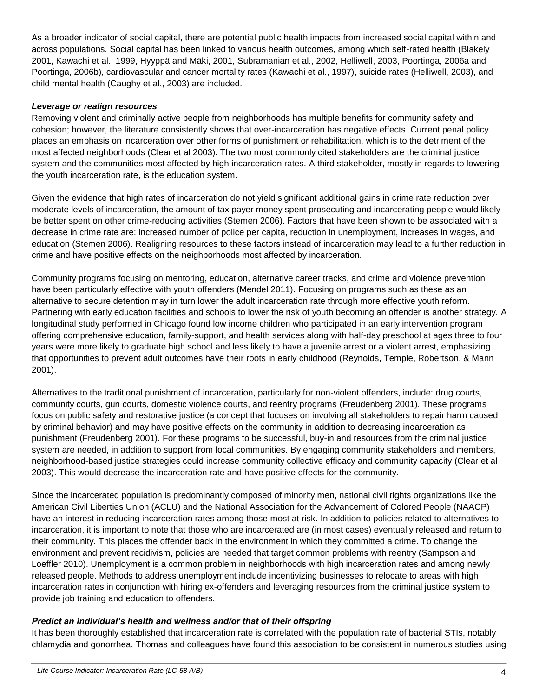As a broader indicator of social capital, there are potential public health impacts from increased social capital within and across populations. Social capital has been linked to various health outcomes, among which self-rated health (Blakely 2001, Kawachi et al., 1999, Hyyppä and Mäki, 2001, Subramanian et al., 2002, Helliwell, 2003, Poortinga, 2006a and Poortinga, 2006b), cardiovascular and cancer mortality rates (Kawachi et al., 1997), suicide rates (Helliwell, 2003), and child mental health (Caughy et al., 2003) are included.

#### *Leverage or realign resources*

Removing violent and criminally active people from neighborhoods has multiple benefits for community safety and cohesion; however, the literature consistently shows that over-incarceration has negative effects. Current penal policy places an emphasis on incarceration over other forms of punishment or rehabilitation, which is to the detriment of the most affected neighborhoods (Clear et al 2003). The two most commonly cited stakeholders are the criminal justice system and the communities most affected by high incarceration rates. A third stakeholder, mostly in regards to lowering the youth incarceration rate, is the education system.

Given the evidence that high rates of incarceration do not yield significant additional gains in crime rate reduction over moderate levels of incarceration, the amount of tax payer money spent prosecuting and incarcerating people would likely be better spent on other crime-reducing activities (Stemen 2006). Factors that have been shown to be associated with a decrease in crime rate are: increased number of police per capita, reduction in unemployment, increases in wages, and education (Stemen 2006). Realigning resources to these factors instead of incarceration may lead to a further reduction in crime and have positive effects on the neighborhoods most affected by incarceration.

Community programs focusing on mentoring, education, alternative career tracks, and crime and violence prevention have been particularly effective with youth offenders (Mendel 2011). Focusing on programs such as these as an alternative to secure detention may in turn lower the adult incarceration rate through more effective youth reform. Partnering with early education facilities and schools to lower the risk of youth becoming an offender is another strategy. A longitudinal study performed in Chicago found low income children who participated in an early intervention program offering comprehensive education, family-support, and health services along with half-day preschool at ages three to four years were more likely to graduate high school and less likely to have a juvenile arrest or a violent arrest, emphasizing that opportunities to prevent adult outcomes have their roots in early childhood (Reynolds, Temple, Robertson, & Mann 2001).

Alternatives to the traditional punishment of incarceration, particularly for non-violent offenders, include: drug courts, community courts, gun courts, domestic violence courts, and reentry programs (Freudenberg 2001). These programs focus on public safety and restorative justice (a concept that focuses on involving all stakeholders to repair harm caused by criminal behavior) and may have positive effects on the community in addition to decreasing incarceration as punishment (Freudenberg 2001). For these programs to be successful, buy-in and resources from the criminal justice system are needed, in addition to support from local communities. By engaging community stakeholders and members, neighborhood-based justice strategies could increase community collective efficacy and community capacity (Clear et al 2003). This would decrease the incarceration rate and have positive effects for the community.

Since the incarcerated population is predominantly composed of minority men, national civil rights organizations like the American Civil Liberties Union (ACLU) and the National Association for the Advancement of Colored People (NAACP) have an interest in reducing incarceration rates among those most at risk. In addition to policies related to alternatives to incarceration, it is important to note that those who are incarcerated are (in most cases) eventually released and return to their community. This places the offender back in the environment in which they committed a crime. To change the environment and prevent recidivism, policies are needed that target common problems with reentry (Sampson and Loeffler 2010). Unemployment is a common problem in neighborhoods with high incarceration rates and among newly released people. Methods to address unemployment include incentivizing businesses to relocate to areas with high incarceration rates in conjunction with hiring ex-offenders and leveraging resources from the criminal justice system to provide job training and education to offenders.

# *Predict an individual's health and wellness and/or that of their offspring*

It has been thoroughly established that incarceration rate is correlated with the population rate of bacterial STIs, notably chlamydia and gonorrhea. Thomas and colleagues have found this association to be consistent in numerous studies using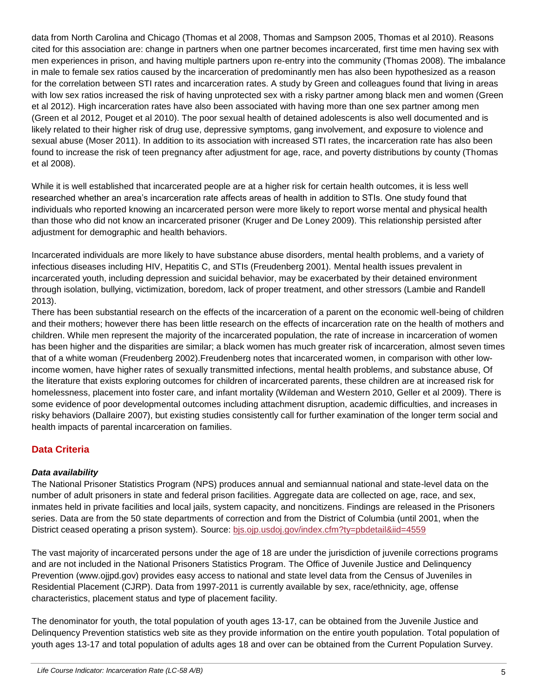data from North Carolina and Chicago (Thomas et al 2008, Thomas and Sampson 2005, Thomas et al 2010). Reasons cited for this association are: change in partners when one partner becomes incarcerated, first time men having sex with men experiences in prison, and having multiple partners upon re-entry into the community (Thomas 2008). The imbalance in male to female sex ratios caused by the incarceration of predominantly men has also been hypothesized as a reason for the correlation between STI rates and incarceration rates. A study by Green and colleagues found that living in areas with low sex ratios increased the risk of having unprotected sex with a risky partner among black men and women (Green et al 2012). High incarceration rates have also been associated with having more than one sex partner among men (Green et al 2012, Pouget et al 2010). The poor sexual health of detained adolescents is also well documented and is likely related to their higher risk of drug use, depressive symptoms, gang involvement, and exposure to violence and sexual abuse (Moser 2011). In addition to its association with increased STI rates, the incarceration rate has also been found to increase the risk of teen pregnancy after adjustment for age, race, and poverty distributions by county (Thomas et al 2008).

While it is well established that incarcerated people are at a higher risk for certain health outcomes, it is less well researched whether an area's incarceration rate affects areas of health in addition to STIs. One study found that individuals who reported knowing an incarcerated person were more likely to report worse mental and physical health than those who did not know an incarcerated prisoner (Kruger and De Loney 2009). This relationship persisted after adjustment for demographic and health behaviors.

Incarcerated individuals are more likely to have substance abuse disorders, mental health problems, and a variety of infectious diseases including HIV, Hepatitis C, and STIs (Freudenberg 2001). Mental health issues prevalent in incarcerated youth, including depression and suicidal behavior, may be exacerbated by their detained environment through isolation, bullying, victimization, boredom, lack of proper treatment, and other stressors (Lambie and Randell 2013).

There has been substantial research on the effects of the incarceration of a parent on the economic well-being of children and their mothers; however there has been little research on the effects of incarceration rate on the health of mothers and children. While men represent the majority of the incarcerated population, the rate of increase in incarceration of women has been higher and the disparities are similar; a black women has much greater risk of incarceration, almost seven times that of a white woman (Freudenberg 2002).Freudenberg notes that incarcerated women, in comparison with other lowincome women, have higher rates of sexually transmitted infections, mental health problems, and substance abuse, Of the literature that exists exploring outcomes for children of incarcerated parents, these children are at increased risk for homelessness, placement into foster care, and infant mortality (Wildeman and Western 2010, Geller et al 2009). There is some evidence of poor developmental outcomes including attachment disruption, academic difficulties, and increases in risky behaviors (Dallaire 2007), but existing studies consistently call for further examination of the longer term social and health impacts of parental incarceration on families.

# **Data Criteria**

# *Data availability*

The National Prisoner Statistics Program (NPS) produces annual and semiannual national and state-level data on the number of adult prisoners in state and federal prison facilities. Aggregate data are collected on age, race, and sex, inmates held in private facilities and local jails, system capacity, and noncitizens. Findings are released in the Prisoners series. Data are from the 50 state departments of correction and from the District of Columbia (until 2001, when the District ceased operating a prison system). Source: [bjs.ojp.usdoj.gov/index.cfm?ty=pbdetail&iid=4559](http://bjs.ojp.usdoj.gov/index.cfm?ty=pbdetail&iid=4559)

The vast majority of incarcerated persons under the age of 18 are under the jurisdiction of juvenile corrections programs and are not included in the National Prisoners Statistics Program. The Office of Juvenile Justice and Delinquency Prevention (www.ojjpd.gov) provides easy access to national and state level data from the Census of Juveniles in Residential Placement (CJRP). Data from 1997-2011 is currently available by sex, race/ethnicity, age, offense characteristics, placement status and type of placement facility.

The denominator for youth, the total population of youth ages 13-17, can be obtained from the Juvenile Justice and Delinquency Prevention statistics web site as they provide information on the entire youth population. Total population of youth ages 13-17 and total population of adults ages 18 and over can be obtained from the Current Population Survey.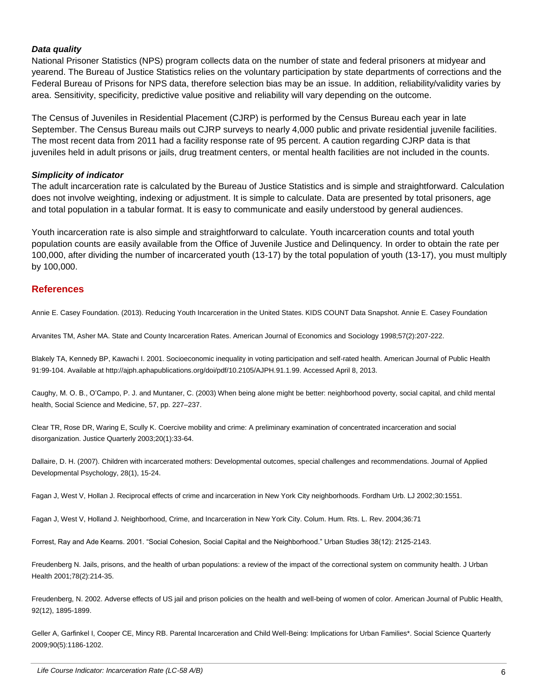#### *Data quality*

National Prisoner Statistics (NPS) program collects data on the number of state and federal prisoners at midyear and yearend. The Bureau of Justice Statistics relies on the voluntary participation by state departments of corrections and the Federal Bureau of Prisons for NPS data, therefore selection bias may be an issue. In addition, reliability/validity varies by area. Sensitivity, specificity, predictive value positive and reliability will vary depending on the outcome.

The Census of Juveniles in Residential Placement (CJRP) is performed by the Census Bureau each year in late September. The Census Bureau mails out CJRP surveys to nearly 4,000 public and private residential juvenile facilities. The most recent data from 2011 had a facility response rate of 95 percent. A caution regarding CJRP data is that juveniles held in adult prisons or jails, drug treatment centers, or mental health facilities are not included in the counts.

#### *Simplicity of indicator*

The adult incarceration rate is calculated by the Bureau of Justice Statistics and is simple and straightforward. Calculation does not involve weighting, indexing or adjustment. It is simple to calculate. Data are presented by total prisoners, age and total population in a tabular format. It is easy to communicate and easily understood by general audiences.

Youth incarceration rate is also simple and straightforward to calculate. Youth incarceration counts and total youth population counts are easily available from the Office of Juvenile Justice and Delinquency. In order to obtain the rate per 100,000, after dividing the number of incarcerated youth (13-17) by the total population of youth (13-17), you must multiply by 100,000.

#### **References**

Annie E. Casey Foundation. (2013). Reducing Youth Incarceration in the United States. KIDS COUNT Data Snapshot. Annie E. Casey Foundation

Arvanites TM, Asher MA. State and County Incarceration Rates. American Journal of Economics and Sociology 1998;57(2):207-222.

Blakely TA, Kennedy BP, Kawachi I. 2001. Socioeconomic inequality in voting participation and self-rated health. American Journal of Public Health 91:99-104. Available at http://ajph.aphapublications.org/doi/pdf/10.2105/AJPH.91.1.99. Accessed April 8, 2013.

Caughy, M. O. B., O'Campo, P. J. and Muntaner, C. (2003) When being alone might be better: neighborhood poverty, social capital, and child mental health, Social Science and Medicine, 57, pp. 227–237.

Clear TR, Rose DR, Waring E, Scully K. Coercive mobility and crime: A preliminary examination of concentrated incarceration and social disorganization. Justice Quarterly 2003;20(1):33-64.

Dallaire, D. H. (2007). Children with incarcerated mothers: Developmental outcomes, special challenges and recommendations. Journal of Applied Developmental Psychology, 28(1), 15-24.

Fagan J, West V, Hollan J. Reciprocal effects of crime and incarceration in New York City neighborhoods. Fordham Urb. LJ 2002;30:1551.

Fagan J, West V, Holland J. Neighborhood, Crime, and Incarceration in New York City. Colum. Hum. Rts. L. Rev. 2004;36:71

Forrest, Ray and Ade Kearns. 2001. "Social Cohesion, Social Capital and the Neighborhood." Urban Studies 38(12): 2125-2143.

Freudenberg N. Jails, prisons, and the health of urban populations: a review of the impact of the correctional system on community health. J Urban Health 2001;78(2):214-35.

Freudenberg, N. 2002. Adverse effects of US jail and prison policies on the health and well-being of women of color. American Journal of Public Health, 92(12), 1895-1899.

Geller A, Garfinkel I, Cooper CE, Mincy RB. Parental Incarceration and Child Well-Being: Implications for Urban Families\*. Social Science Quarterly 2009;90(5):1186-1202.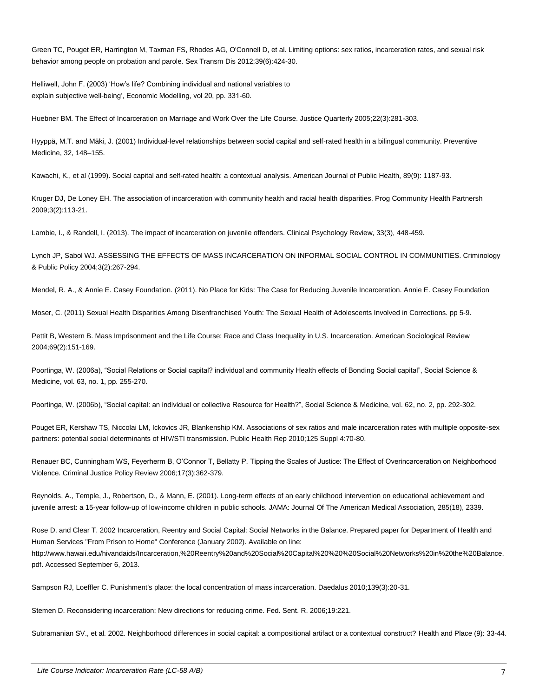Green TC, Pouget ER, Harrington M, Taxman FS, Rhodes AG, O'Connell D, et al. Limiting options: sex ratios, incarceration rates, and sexual risk behavior among people on probation and parole. Sex Transm Dis 2012;39(6):424-30.

Helliwell, John F. (2003) 'How's life? Combining individual and national variables to explain subjective well-being', Economic Modelling, vol 20, pp. 331-60.

Huebner BM. The Effect of Incarceration on Marriage and Work Over the Life Course. Justice Quarterly 2005;22(3):281-303.

Hyyppä, M.T. and Mäki, J. (2001) Individual-level relationships between social capital and self-rated health in a bilingual community. Preventive Medicine, 32, 148–155.

Kawachi, K., et al (1999). Social capital and self-rated health: a contextual analysis. American Journal of Public Health, 89(9): 1187-93.

Kruger DJ, De Loney EH. The association of incarceration with community health and racial health disparities. Prog Community Health Partnersh 2009;3(2):113-21.

Lambie, I., & Randell, I. (2013). The impact of incarceration on juvenile offenders. Clinical Psychology Review, 33(3), 448-459.

Lynch JP, Sabol WJ. ASSESSING THE EFFECTS OF MASS INCARCERATION ON INFORMAL SOCIAL CONTROL IN COMMUNITIES. Criminology & Public Policy 2004;3(2):267-294.

Mendel, R. A., & Annie E. Casey Foundation. (2011). No Place for Kids: The Case for Reducing Juvenile Incarceration. Annie E. Casey Foundation

Moser, C. (2011) Sexual Health Disparities Among Disenfranchised Youth: The Sexual Health of Adolescents Involved in Corrections. pp 5-9.

Pettit B, Western B. Mass Imprisonment and the Life Course: Race and Class Inequality in U.S. Incarceration. American Sociological Review 2004;69(2):151-169.

Poortinga, W. (2006a), "Social Relations or Social capital? individual and community Health effects of Bonding Social capital", Social Science & Medicine, vol. 63, no. 1, pp. 255-270.

Poortinga, W. (2006b), "Social capital: an individual or collective Resource for Health?", Social Science & Medicine, vol. 62, no. 2, pp. 292-302.

Pouget ER, Kershaw TS, Niccolai LM, Ickovics JR, Blankenship KM. Associations of sex ratios and male incarceration rates with multiple opposite-sex partners: potential social determinants of HIV/STI transmission. Public Health Rep 2010;125 Suppl 4:70-80.

Renauer BC, Cunningham WS, Feyerherm B, O'Connor T, Bellatty P. Tipping the Scales of Justice: The Effect of Overincarceration on Neighborhood Violence. Criminal Justice Policy Review 2006;17(3):362-379.

Reynolds, A., Temple, J., Robertson, D., & Mann, E. (2001). Long-term effects of an early childhood intervention on educational achievement and juvenile arrest: a 15-year follow-up of low-income children in public schools. JAMA: Journal Of The American Medical Association, 285(18), 2339.

Rose D. and Clear T. 2002 Incarceration, Reentry and Social Capital: Social Networks in the Balance. Prepared paper for Department of Health and Human Services "From Prison to Home" Conference (January 2002). Available on line: http://www.hawaii.edu/hivandaids/Incarceration,%20Reentry%20and%20Social%20Capital%20%20%20Social%20Networks%20in%20the%20Balance. pdf. Accessed September 6, 2013.

Sampson RJ, Loeffler C. Punishment's place: the local concentration of mass incarceration. Daedalus 2010;139(3):20-31.

Stemen D. Reconsidering incarceration: New directions for reducing crime. Fed. Sent. R. 2006;19:221.

Subramanian SV., et al. 2002. Neighborhood differences in social capital: a compositional artifact or a contextual construct? Health and Place (9): 33-44.